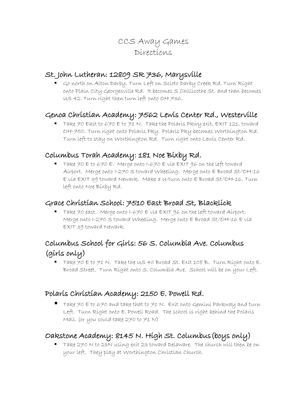# CCS Away Games Directions

### St. John Lutheran: 12809 SR 736, Marysville

 Go north on Alton Darby. Turn Left on Scioto Darby Creek Rd. Turn Right onto Plain City Georgesville Rd. It becomes S Chillicothe St. and then becomes US 42. Turn right then turn left onto OH 736.

# Genoa Christian Academy: 7562 Lewis Center Rd., Westerville

Take 70 East to 670 E to 71 N. Take the Polaris Pkwy exit, EXIT 121, toward OH-750. Turn right onto Polaris Pky. Polaris Pky becomes Worthington Rd. Turn left to stay on Worthington Rd. Turn right onto Lewis Center Rd.

## Columbus Torah Academy: 181 Noe Bixby Rd.

Take  $70$  E to  $670$  E. Merge onto I- $670$  E via EXIT 96 on the left toward Airport. Merge onto I-270 S toward Wheeling. Merge onto E Broad St/OH-16 E via EXIT 39 toward Newark. Make a U-turn onto E Broad St/OH-16. Turn left onto Noe Bixby Rd.

#### Grace Christian School: 7510 East Broad St, Blacklick

Take 70 east. Merge onto I-670  $\epsilon$  via  $\epsilon$ XIT 96 on the left toward Airport. Merge onto I-270 S toward Wheeling. Merge onto E Broad St/OH-16 E via EXIT 39 toward Newark.

# Columbus School for Girls: 56 S. Columbia Ave. Columbus (girls only)

Take 70 E to 71 N. Take the U.S 40 Broad St. Exit 108 B. Turn Right onto E. Broad Street. Turn Right onto S. Columbia Ave. School will be on your Left.

## Polaris Christian Academy: 2150 E. Powell Rd.

Take 70 E to 670 and take that to 71 N. Exit onto Gemini Parkway and turn Left. Turn Right onto E. Powell Road. The school is right behind the Polaris Mall. (or you could take 270 to 71 N)

# Oakstone Academy: 8145 N. High St. Columbus(boys only)

■ Take 270 N to 23N using exit 23 toward Delaware. The church will then be on your left. They play at Worthington Christian Church.